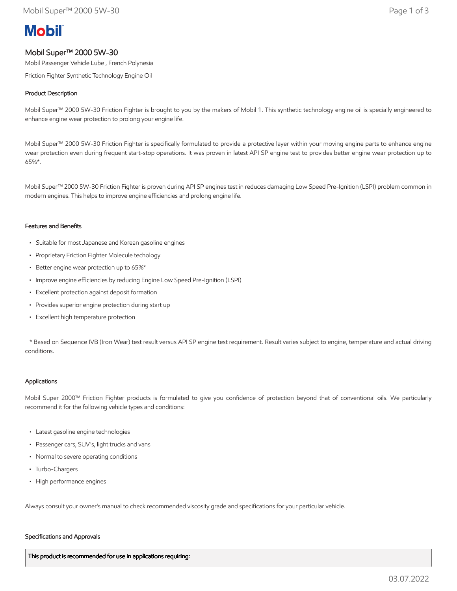# **Mobil**

## Mobil Super™ 2000 5W-30

Mobil Passenger Vehicle Lube , French Polynesia

Friction Fighter Synthetic Technology Engine Oil

### Product Description

Mobil Super™ 2000 5W-30 Friction Fighter is brought to you by the makers of Mobil 1. This synthetic technology engine oil is specially engineered to enhance engine wear protection to prolong your engine life.

Mobil Super™ 2000 5W-30 Friction Fighter is specifically formulated to provide a protective layer within your moving engine parts to enhance engine wear protection even during frequent start-stop operations. It was proven in latest API SP engine test to provides better engine wear protection up to 65%\*.

Mobil Super™ 2000 5W-30 Friction Fighter is proven during API SP engines test in reduces damaging Low Speed Pre-Ignition (LSPI) problem common in modern engines. This helps to improve engine efficiencies and prolong engine life.

#### Features and Benefits

- Suitable for most Japanese and Korean gasoline engines
- Proprietary Friction Fighter Molecule techology
- Better engine wear protection up to 65%\*
- Improve engine efficiencies by reducing Engine Low Speed Pre-Ignition (LSPI)
- Excellent protection against deposit formation
- Provides superior engine protection during start up
- Excellent high temperature protection

 \* Based on Sequence IVB (Iron Wear) test result versus API SP engine test requirement. Result varies subject to engine, temperature and actual driving conditions.

#### Applications

Mobil Super 2000™ Friction Fighter products is formulated to give you confidence of protection beyond that of conventional oils. We particularly recommend it for the following vehicle types and conditions:

- Latest gasoline engine technologies
- Passenger cars, SUV's, light trucks and vans
- Normal to severe operating conditions
- Turbo-Chargers
- High performance engines

Always consult your owner's manual to check recommended viscosity grade and specifications for your particular vehicle.

#### Specifications and Approvals

This product is recommended for use in applications requiring: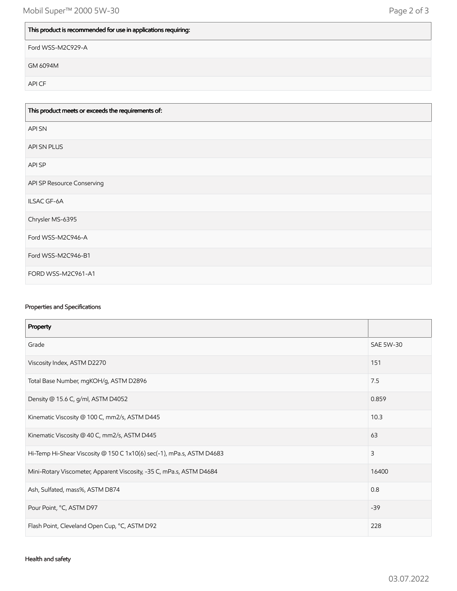# This product is recommended for use in applications requiring:

Ford WSS-M2C929-A

GM 6094M

API CF

| This product meets or exceeds the requirements of: |
|----------------------------------------------------|
| <b>APISN</b>                                       |
| API SN PLUS                                        |
| API SP                                             |
| API SP Resource Conserving                         |
| ILSAC GF-6A                                        |
| Chrysler MS-6395                                   |
| Ford WSS-M2C946-A                                  |
| Ford WSS-M2C946-B1                                 |
| FORD WSS-M2C961-A1                                 |

## Properties and Specifications

| Property                                                              |                  |
|-----------------------------------------------------------------------|------------------|
| Grade                                                                 | <b>SAE 5W-30</b> |
| Viscosity Index, ASTM D2270                                           | 151              |
| Total Base Number, mgKOH/g, ASTM D2896                                | 7.5              |
| Density @ 15.6 C, g/ml, ASTM D4052                                    | 0.859            |
| Kinematic Viscosity @ 100 C, mm2/s, ASTM D445                         | 10.3             |
| Kinematic Viscosity @ 40 C, mm2/s, ASTM D445                          | 63               |
| Hi-Temp Hi-Shear Viscosity @ 150 C 1x10(6) sec(-1), mPa.s, ASTM D4683 | 3                |
| Mini-Rotary Viscometer, Apparent Viscosity, -35 C, mPa.s, ASTM D4684  | 16400            |
| Ash, Sulfated, mass%, ASTM D874                                       | 0.8              |
| Pour Point, °C, ASTM D97                                              | $-39$            |
| Flash Point, Cleveland Open Cup, °C, ASTM D92                         | 228              |